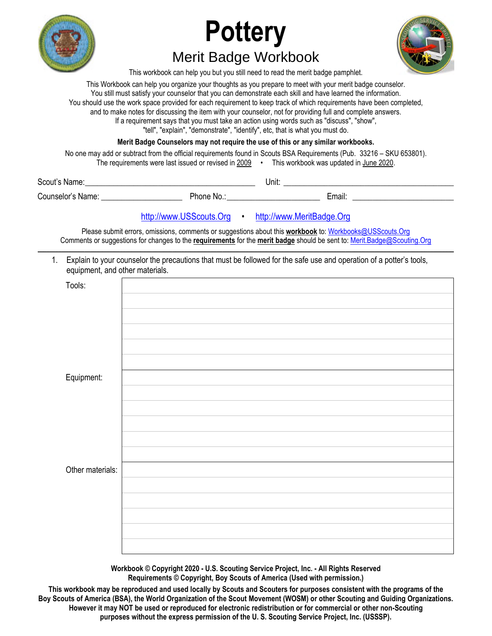

# **Pottery**  Merit Badge Workbook



This workbook can help you but you still need to read the merit badge pamphlet.

This Workbook can help you organize your thoughts as you prepare to meet with your merit badge counselor.

You still must satisfy your counselor that you can demonstrate each skill and have learned the information.

You should use the work space provided for each requirement to keep track of which requirements have been completed,

and to make notes for discussing the item with your counselor, not for providing full and complete answers.

If a requirement says that you must take an action using words such as "discuss", "show",

"tell", "explain", "demonstrate", "identify", etc, that is what you must do.

### **Merit Badge Counselors may not require the use of this or any similar workbooks.**

 No one may add or subtract from the official requirements found in Scouts BSA Requirements (Pub. 33216 – SKU 653801). The requirements were last issued or revised in  $2009 \cdot$  This workbook was updated in June 2020.

| Scout's Name:     |          | Unit: |        |
|-------------------|----------|-------|--------|
| Counselor's Name: | Phone No |       | Email: |

### http://www.USScouts.Org • http://www.MeritBadge.Org

Please submit errors, omissions, comments or suggestions about this **workbook** to: Workbooks@USScouts.Org Comments or suggestions for changes to the **requirements** for the **merit badge** should be sent to: Merit.Badge@Scouting.Org *\_\_\_\_\_\_\_\_\_\_\_\_\_\_\_\_\_\_\_\_\_\_\_\_\_\_\_\_\_\_\_\_\_\_\_\_\_\_\_\_\_\_\_\_\_\_\_\_\_\_\_\_\_\_\_\_\_\_\_\_\_\_\_\_\_\_\_\_\_\_\_\_\_\_\_\_\_\_\_\_\_\_\_\_\_\_\_\_\_\_\_\_\_\_\_\_\_\_\_\_\_\_\_\_\_\_\_\_\_\_\_\_\_\_\_\_\_\_\_\_\_\_\_\_\_\_\_\_\_\_\_\_\_\_\_\_\_\_\_\_\_\_* 

 1. Explain to your counselor the precautions that must be followed for the safe use and operation of a potter's tools, equipment, and other materials.

| Tools:           |  |
|------------------|--|
|                  |  |
|                  |  |
|                  |  |
|                  |  |
|                  |  |
| Equipment:       |  |
|                  |  |
|                  |  |
|                  |  |
|                  |  |
|                  |  |
| Other materials: |  |
|                  |  |
|                  |  |
|                  |  |
|                  |  |
|                  |  |
|                  |  |

**Workbook © Copyright 2020 - U.S. Scouting Service Project, Inc. - All Rights Reserved Requirements © Copyright, Boy Scouts of America (Used with permission.)** 

**This workbook may be reproduced and used locally by Scouts and Scouters for purposes consistent with the programs of the Boy Scouts of America (BSA), the World Organization of the Scout Movement (WOSM) or other Scouting and Guiding Organizations. However it may NOT be used or reproduced for electronic redistribution or for commercial or other non-Scouting purposes without the express permission of the U. S. Scouting Service Project, Inc. (USSSP).**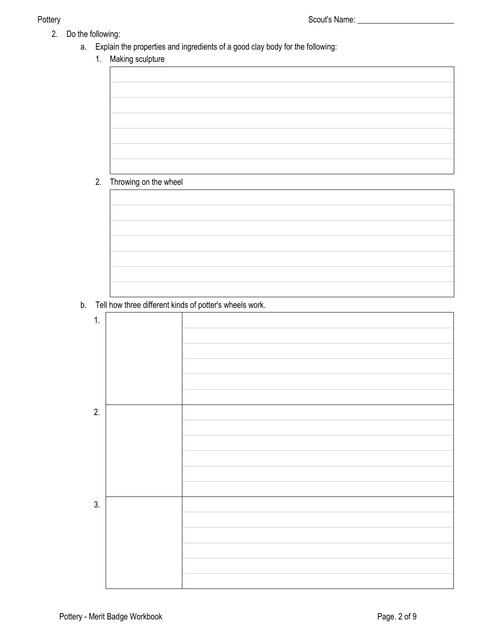- 2. Do the following:
	- a. Explain the properties and ingredients of a good clay body for the following:
		- 1. Making sculpture



# 2. Throwing on the wheel

# b. Tell how three different kinds of potter's wheels work.

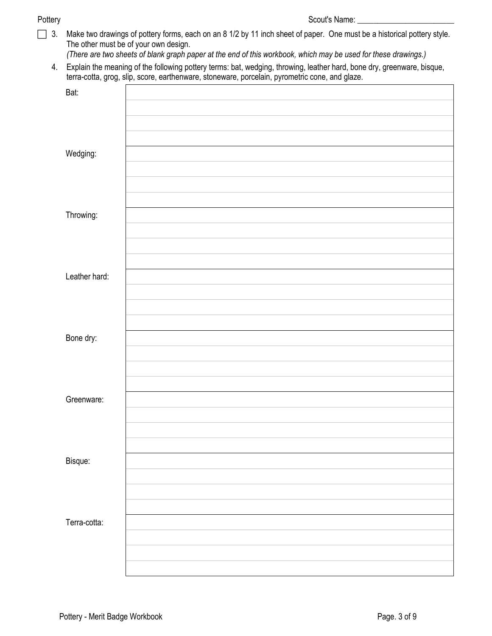3. Make two drawings of pottery forms, each on an 8 1/2 by 11 inch sheet of paper. One must be a historical pottery style. The other must be of your own design.

*(There are two sheets of blank graph paper at the end of this workbook, which may be used for these drawings.)* 

 4. Explain the meaning of the following pottery terms: bat, wedging, throwing, leather hard, bone dry, greenware, bisque, terra-cotta, grog, slip, score, earthenware, stoneware, porcelain, pyrometric cone, and glaze.

|               | $\cdot$ $\cdot$<br>- |  |
|---------------|----------------------|--|
| Bat:          |                      |  |
|               |                      |  |
|               |                      |  |
|               |                      |  |
|               |                      |  |
|               |                      |  |
| Wedging:      |                      |  |
|               |                      |  |
|               |                      |  |
|               |                      |  |
|               |                      |  |
| Throwing:     |                      |  |
|               |                      |  |
|               |                      |  |
|               |                      |  |
|               |                      |  |
| Leather hard: |                      |  |
|               |                      |  |
|               |                      |  |
|               |                      |  |
|               |                      |  |
|               |                      |  |
| Bone dry:     |                      |  |
|               |                      |  |
|               |                      |  |
|               |                      |  |
|               |                      |  |
| Greenware:    |                      |  |
|               |                      |  |
|               |                      |  |
|               |                      |  |
|               |                      |  |
| Bisque:       |                      |  |
|               |                      |  |
|               |                      |  |
|               |                      |  |
|               |                      |  |
| Terra-cotta:  |                      |  |
|               |                      |  |
|               |                      |  |
|               |                      |  |
|               |                      |  |
|               |                      |  |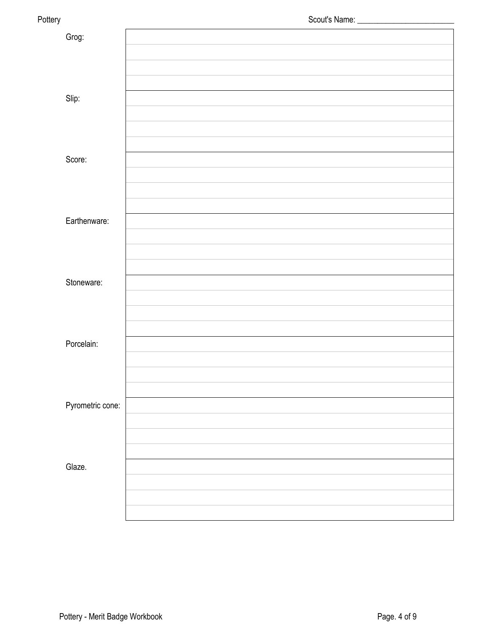| Pottery |                  |  |
|---------|------------------|--|
|         | Grog:            |  |
|         |                  |  |
|         |                  |  |
|         |                  |  |
|         | Slip:            |  |
|         |                  |  |
|         |                  |  |
|         | Score:           |  |
|         |                  |  |
|         |                  |  |
|         |                  |  |
|         | Earthenware:     |  |
|         |                  |  |
|         |                  |  |
|         |                  |  |
|         | Stoneware:       |  |
|         |                  |  |
|         |                  |  |
|         | Porcelain:       |  |
|         |                  |  |
|         |                  |  |
|         |                  |  |
|         | Pyrometric cone: |  |
|         |                  |  |
|         |                  |  |
|         |                  |  |
|         | Glaze.           |  |
|         |                  |  |
|         |                  |  |
|         |                  |  |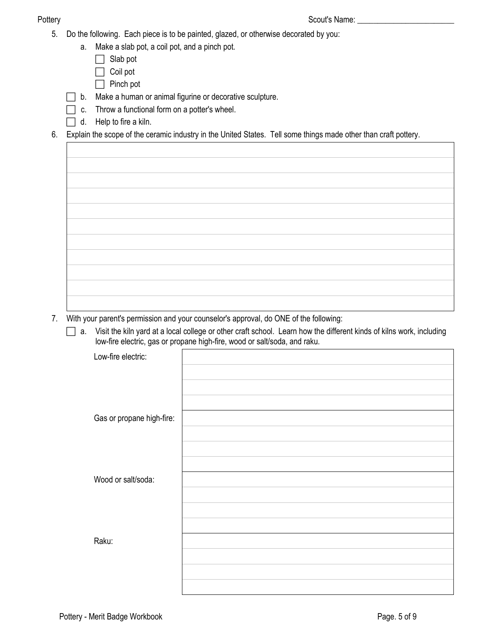- 5. Do the following. Each piece is to be painted, glazed, or otherwise decorated by you:
	- a. Make a slab pot, a coil pot, and a pinch pot.
		- $\Box$  Slab pot
		- $\Box$  Coil pot
		- $\Box$  Pinch pot

 $\Box$  b. Make a human or animal figurine or decorative sculpture.

- $\Box$  c. Throw a functional form on a potter's wheel.
- $\Box$  d. Help to fire a kiln.

6. Explain the scope of the ceramic industry in the United States. Tell some things made other than craft pottery.

- 7. With your parent's permission and your counselor's approval, do ONE of the following:
	- $\Box$  a. Visit the kiln yard at a local college or other craft school. Learn how the different kinds of kilns work, including low-fire electric, gas or propane high-fire, wood or salt/soda, and raku.

| Low-fire electric:        |  |
|---------------------------|--|
|                           |  |
|                           |  |
|                           |  |
| Gas or propane high-fire: |  |
|                           |  |
|                           |  |
|                           |  |
| Wood or salt/soda:        |  |
|                           |  |
|                           |  |
|                           |  |
| Raku:                     |  |
|                           |  |
|                           |  |
|                           |  |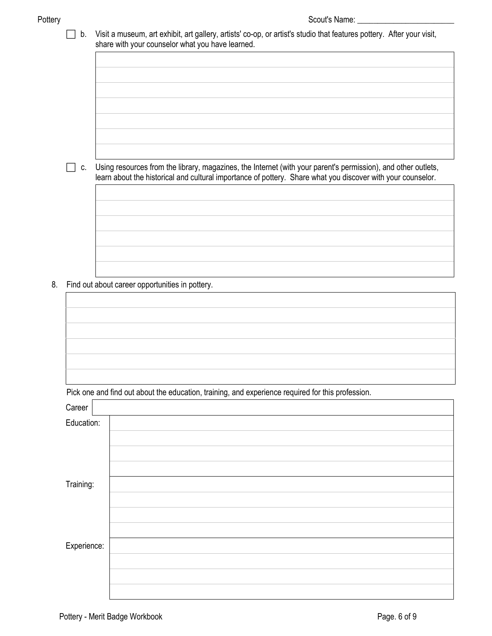| C.<br>Find out about career opportunities in pottery.<br>Pick one and find out about the education, training, and experience required for this profession.<br>Career<br>Education:<br>Training:<br>Experience: | share with your counselor what you have learned.                                                                                                                                                                             |
|----------------------------------------------------------------------------------------------------------------------------------------------------------------------------------------------------------------|------------------------------------------------------------------------------------------------------------------------------------------------------------------------------------------------------------------------------|
|                                                                                                                                                                                                                |                                                                                                                                                                                                                              |
|                                                                                                                                                                                                                |                                                                                                                                                                                                                              |
|                                                                                                                                                                                                                |                                                                                                                                                                                                                              |
|                                                                                                                                                                                                                |                                                                                                                                                                                                                              |
|                                                                                                                                                                                                                |                                                                                                                                                                                                                              |
|                                                                                                                                                                                                                |                                                                                                                                                                                                                              |
|                                                                                                                                                                                                                |                                                                                                                                                                                                                              |
|                                                                                                                                                                                                                |                                                                                                                                                                                                                              |
|                                                                                                                                                                                                                | Using resources from the library, magazines, the Internet (with your parent's permission), and other outlets,<br>learn about the historical and cultural importance of pottery. Share what you discover with your counselor. |
|                                                                                                                                                                                                                |                                                                                                                                                                                                                              |
|                                                                                                                                                                                                                |                                                                                                                                                                                                                              |
|                                                                                                                                                                                                                |                                                                                                                                                                                                                              |
|                                                                                                                                                                                                                |                                                                                                                                                                                                                              |
|                                                                                                                                                                                                                |                                                                                                                                                                                                                              |
|                                                                                                                                                                                                                |                                                                                                                                                                                                                              |
|                                                                                                                                                                                                                |                                                                                                                                                                                                                              |
|                                                                                                                                                                                                                |                                                                                                                                                                                                                              |
|                                                                                                                                                                                                                |                                                                                                                                                                                                                              |
|                                                                                                                                                                                                                |                                                                                                                                                                                                                              |
|                                                                                                                                                                                                                |                                                                                                                                                                                                                              |
|                                                                                                                                                                                                                |                                                                                                                                                                                                                              |
|                                                                                                                                                                                                                |                                                                                                                                                                                                                              |
|                                                                                                                                                                                                                |                                                                                                                                                                                                                              |
|                                                                                                                                                                                                                |                                                                                                                                                                                                                              |
|                                                                                                                                                                                                                |                                                                                                                                                                                                                              |
|                                                                                                                                                                                                                |                                                                                                                                                                                                                              |
|                                                                                                                                                                                                                |                                                                                                                                                                                                                              |
|                                                                                                                                                                                                                |                                                                                                                                                                                                                              |
|                                                                                                                                                                                                                |                                                                                                                                                                                                                              |
|                                                                                                                                                                                                                |                                                                                                                                                                                                                              |
|                                                                                                                                                                                                                |                                                                                                                                                                                                                              |
|                                                                                                                                                                                                                |                                                                                                                                                                                                                              |
|                                                                                                                                                                                                                |                                                                                                                                                                                                                              |
|                                                                                                                                                                                                                |                                                                                                                                                                                                                              |
|                                                                                                                                                                                                                |                                                                                                                                                                                                                              |
|                                                                                                                                                                                                                |                                                                                                                                                                                                                              |
|                                                                                                                                                                                                                |                                                                                                                                                                                                                              |
|                                                                                                                                                                                                                |                                                                                                                                                                                                                              |
|                                                                                                                                                                                                                |                                                                                                                                                                                                                              |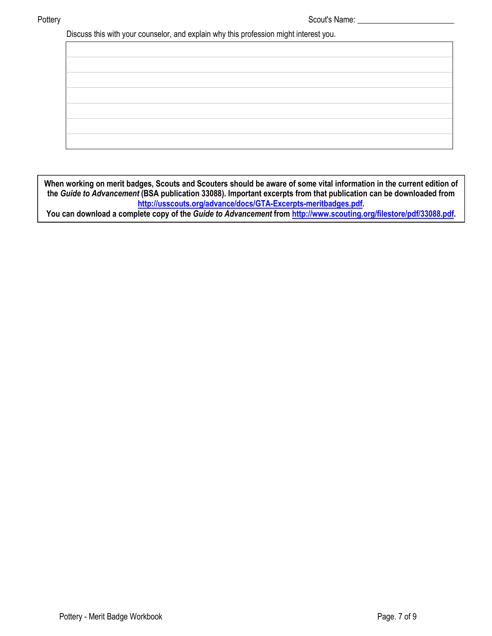Discuss this with your counselor, and explain why this profession might interest you.

**When working on merit badges, Scouts and Scouters should be aware of some vital information in the current edition of the** *Guide to Advancement* **(BSA publication 33088). Important excerpts from that publication can be downloaded from <http://usscouts.org/advance/docs/GTA-Excerpts-meritbadges.pdf>.** 

**You can download a complete copy of the** *Guide to Advancement* **from <http://www.scouting.org/filestore/pdf/33088.pdf>.**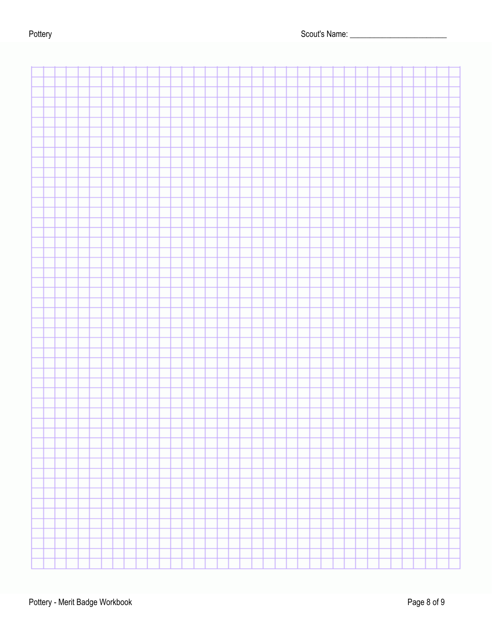